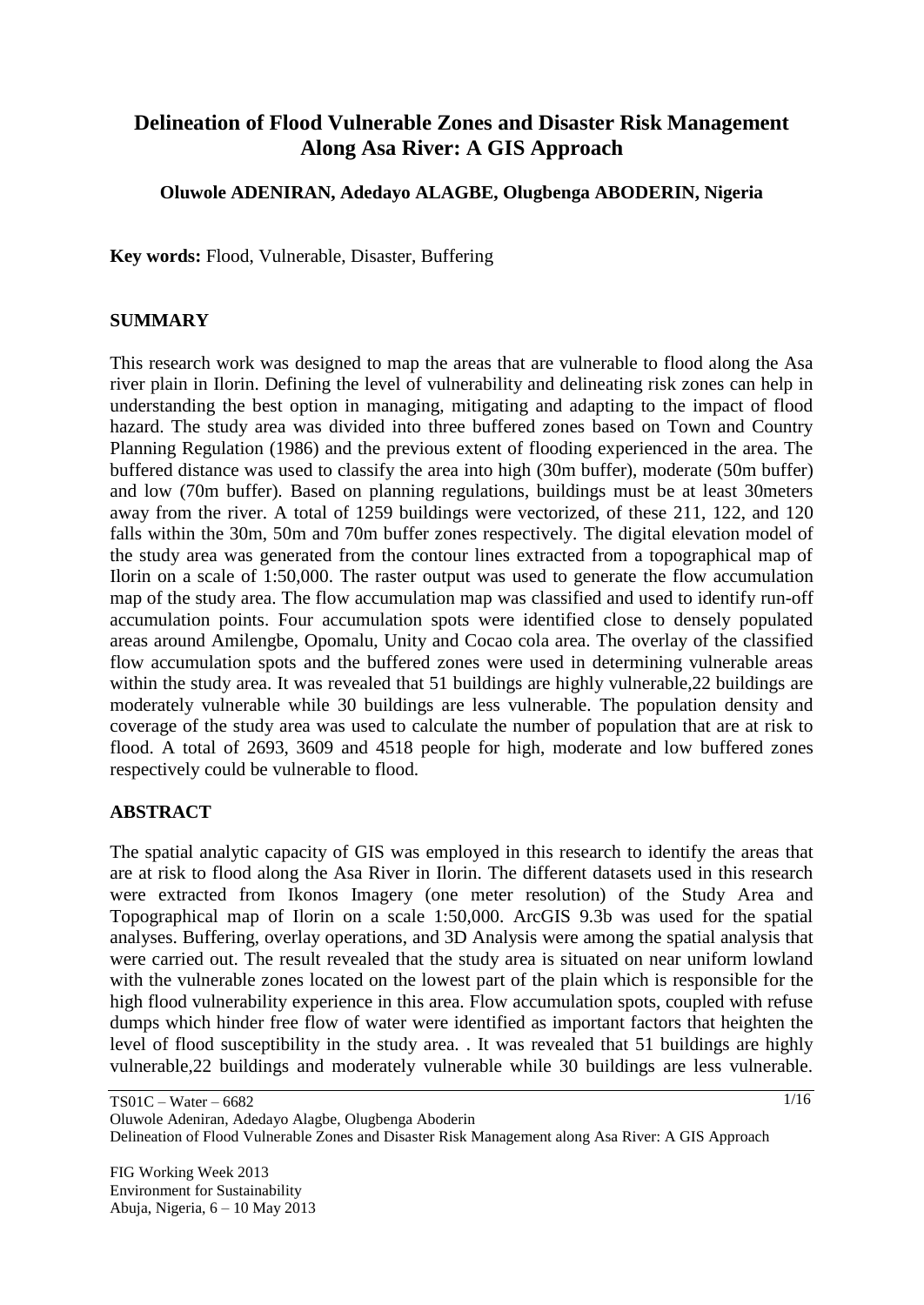# **Delineation of Flood Vulnerable Zones and Disaster Risk Management Along Asa River: A GIS Approach**

#### **Oluwole ADENIRAN, Adedayo ALAGBE, Olugbenga ABODERIN, Nigeria**

**Key words:** Flood, Vulnerable, Disaster, Buffering

#### **SUMMARY**

This research work was designed to map the areas that are vulnerable to flood along the Asa river plain in Ilorin. Defining the level of vulnerability and delineating risk zones can help in understanding the best option in managing, mitigating and adapting to the impact of flood hazard. The study area was divided into three buffered zones based on Town and Country Planning Regulation (1986) and the previous extent of flooding experienced in the area. The buffered distance was used to classify the area into high (30m buffer), moderate (50m buffer) and low (70m buffer). Based on planning regulations, buildings must be at least 30meters away from the river. A total of 1259 buildings were vectorized, of these 211, 122, and 120 falls within the 30m, 50m and 70m buffer zones respectively. The digital elevation model of the study area was generated from the contour lines extracted from a topographical map of Ilorin on a scale of 1:50,000. The raster output was used to generate the flow accumulation map of the study area. The flow accumulation map was classified and used to identify run-off accumulation points. Four accumulation spots were identified close to densely populated areas around Amilengbe, Opomalu, Unity and Cocao cola area. The overlay of the classified flow accumulation spots and the buffered zones were used in determining vulnerable areas within the study area. It was revealed that 51 buildings are highly vulnerable,22 buildings are moderately vulnerable while 30 buildings are less vulnerable. The population density and coverage of the study area was used to calculate the number of population that are at risk to flood. A total of 2693, 3609 and 4518 people for high, moderate and low buffered zones respectively could be vulnerable to flood.

#### **ABSTRACT**

The spatial analytic capacity of GIS was employed in this research to identify the areas that are at risk to flood along the Asa River in Ilorin. The different datasets used in this research were extracted from Ikonos Imagery (one meter resolution) of the Study Area and Topographical map of Ilorin on a scale 1:50,000. ArcGIS 9.3b was used for the spatial analyses. Buffering, overlay operations, and 3D Analysis were among the spatial analysis that were carried out. The result revealed that the study area is situated on near uniform lowland with the vulnerable zones located on the lowest part of the plain which is responsible for the high flood vulnerability experience in this area. Flow accumulation spots, coupled with refuse dumps which hinder free flow of water were identified as important factors that heighten the level of flood susceptibility in the study area. . It was revealed that 51 buildings are highly vulnerable,22 buildings and moderately vulnerable while 30 buildings are less vulnerable.

TS01C – Water – 6682 Oluwole Adeniran, Adedayo Alagbe, Olugbenga Aboderin Delineation of Flood Vulnerable Zones and Disaster Risk Management along Asa River: A GIS Approach

FIG Working Week 2013 Environment for Sustainability Abuja, Nigeria, 6 – 10 May 2013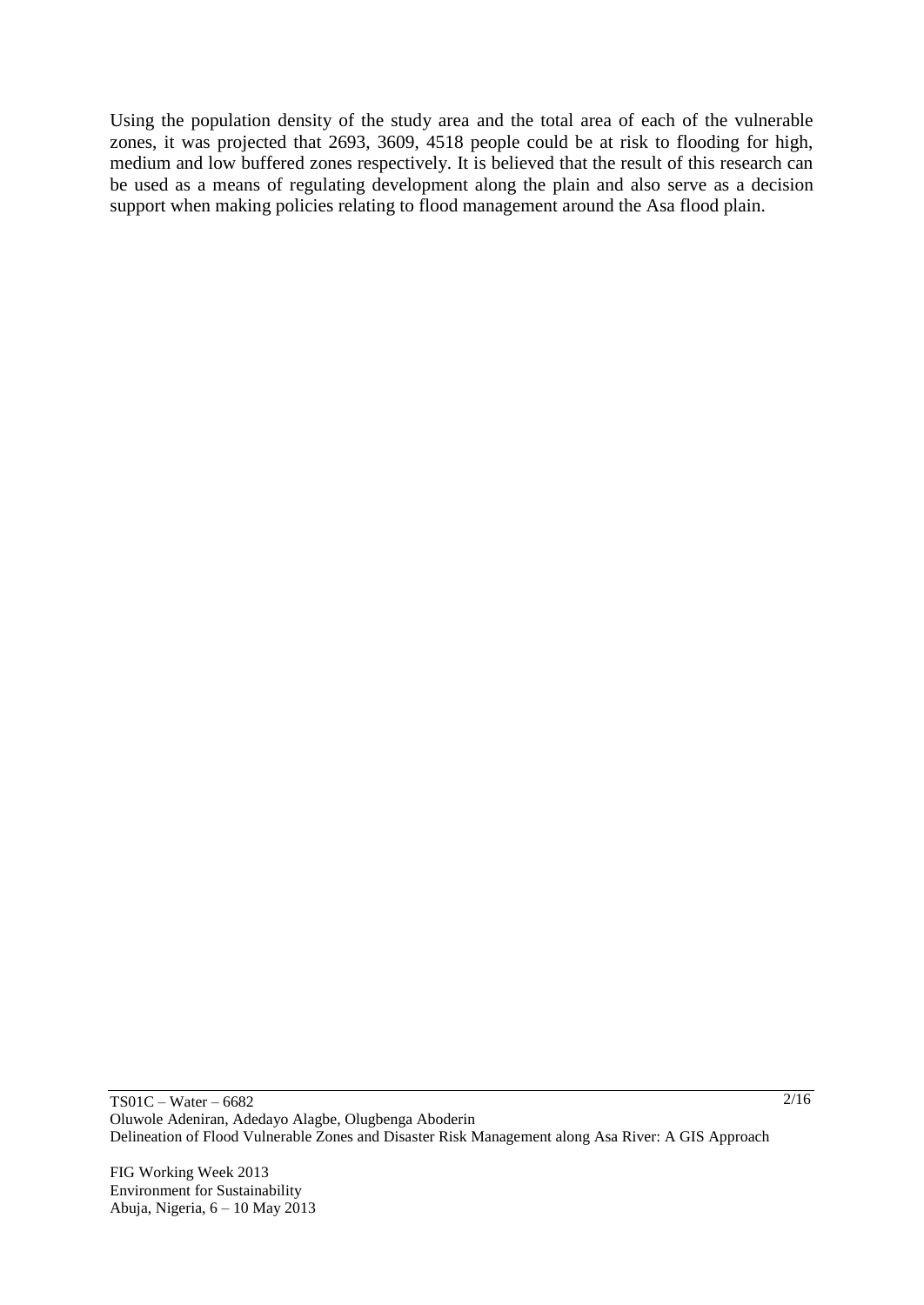Using the population density of the study area and the total area of each of the vulnerable zones, it was projected that 2693, 3609, 4518 people could be at risk to flooding for high, medium and low buffered zones respectively. It is believed that the result of this research can be used as a means of regulating development along the plain and also serve as a decision support when making policies relating to flood management around the Asa flood plain.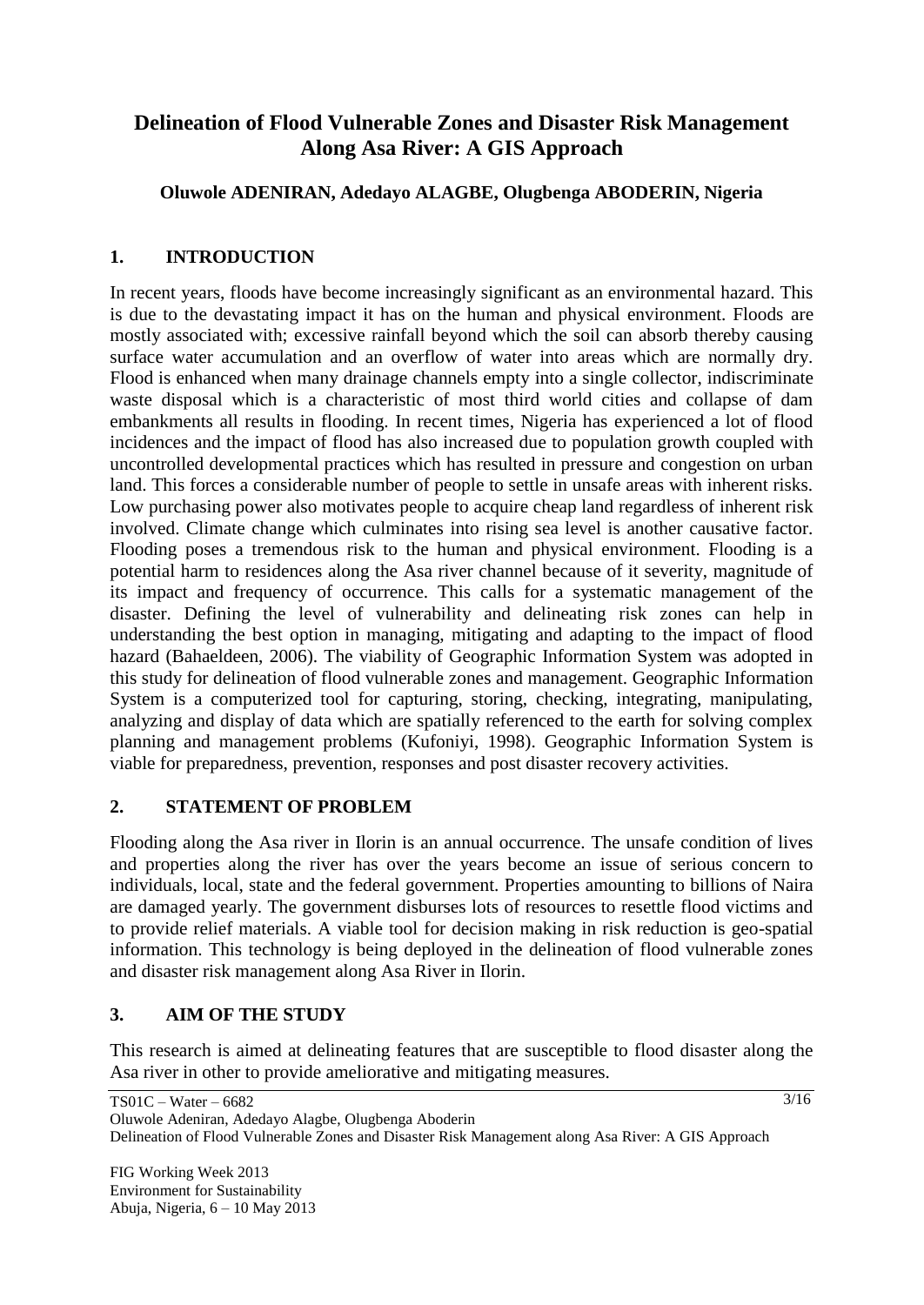# **Delineation of Flood Vulnerable Zones and Disaster Risk Management Along Asa River: A GIS Approach**

## **Oluwole ADENIRAN, Adedayo ALAGBE, Olugbenga ABODERIN, Nigeria**

## **1. INTRODUCTION**

In recent years, floods have become increasingly significant as an environmental hazard. This is due to the devastating impact it has on the human and physical environment. Floods are mostly associated with; excessive rainfall beyond which the soil can absorb thereby causing surface water accumulation and an overflow of water into areas which are normally dry. Flood is enhanced when many drainage channels empty into a single collector, indiscriminate waste disposal which is a characteristic of most third world cities and collapse of dam embankments all results in flooding. In recent times, Nigeria has experienced a lot of flood incidences and the impact of flood has also increased due to population growth coupled with uncontrolled developmental practices which has resulted in pressure and congestion on urban land. This forces a considerable number of people to settle in unsafe areas with inherent risks. Low purchasing power also motivates people to acquire cheap land regardless of inherent risk involved. Climate change which culminates into rising sea level is another causative factor. Flooding poses a tremendous risk to the human and physical environment. Flooding is a potential harm to residences along the Asa river channel because of it severity, magnitude of its impact and frequency of occurrence. This calls for a systematic management of the disaster. Defining the level of vulnerability and delineating risk zones can help in understanding the best option in managing, mitigating and adapting to the impact of flood hazard (Bahaeldeen, 2006). The viability of Geographic Information System was adopted in this study for delineation of flood vulnerable zones and management. Geographic Information System is a computerized tool for capturing, storing, checking, integrating, manipulating, analyzing and display of data which are spatially referenced to the earth for solving complex planning and management problems (Kufoniyi, 1998). Geographic Information System is viable for preparedness, prevention, responses and post disaster recovery activities.

### **2. STATEMENT OF PROBLEM**

Flooding along the Asa river in Ilorin is an annual occurrence. The unsafe condition of lives and properties along the river has over the years become an issue of serious concern to individuals, local, state and the federal government. Properties amounting to billions of Naira are damaged yearly. The government disburses lots of resources to resettle flood victims and to provide relief materials. A viable tool for decision making in risk reduction is geo-spatial information. This technology is being deployed in the delineation of flood vulnerable zones and disaster risk management along Asa River in Ilorin.

# **3. AIM OF THE STUDY**

This research is aimed at delineating features that are susceptible to flood disaster along the Asa river in other to provide ameliorative and mitigating measures.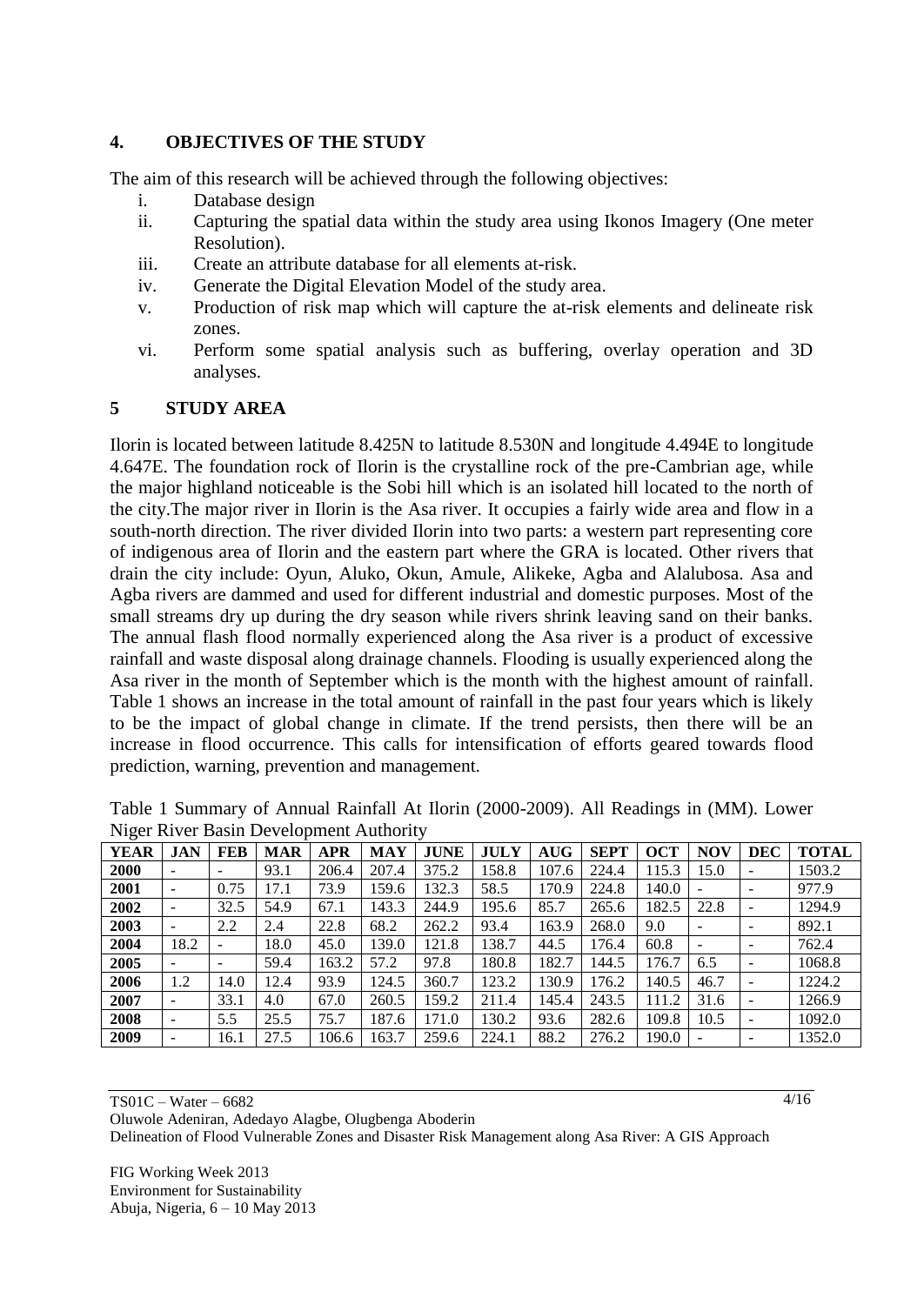#### **4. OBJECTIVES OF THE STUDY**

The aim of this research will be achieved through the following objectives:

- i. Database design
- ii. Capturing the spatial data within the study area using Ikonos Imagery (One meter Resolution).
- iii. Create an attribute database for all elements at-risk.
- iv. Generate the Digital Elevation Model of the study area.
- v. Production of risk map which will capture the at-risk elements and delineate risk zones.
- vi. Perform some spatial analysis such as buffering, overlay operation and 3D analyses.

#### **5 STUDY AREA**

Ilorin is located between latitude 8.425N to latitude 8.530N and longitude 4.494E to longitude 4.647E. The foundation rock of Ilorin is the crystalline rock of the pre-Cambrian age, while the major highland noticeable is the Sobi hill which is an isolated hill located to the north of the city.The major river in Ilorin is the Asa river. It occupies a fairly wide area and flow in a south-north direction. The river divided Ilorin into two parts: a western part representing core of indigenous area of Ilorin and the eastern part where the GRA is located. Other rivers that drain the city include: Oyun, Aluko, Okun, Amule, Alikeke, Agba and Alalubosa. Asa and Agba rivers are dammed and used for different industrial and domestic purposes. Most of the small streams dry up during the dry season while rivers shrink leaving sand on their banks. The annual flash flood normally experienced along the Asa river is a product of excessive rainfall and waste disposal along drainage channels. Flooding is usually experienced along the Asa river in the month of September which is the month with the highest amount of rainfall. Table 1 shows an increase in the total amount of rainfall in the past four years which is likely to be the impact of global change in climate. If the trend persists, then there will be an increase in flood occurrence. This calls for intensification of efforts geared towards flood prediction, warning, prevention and management.

| o           |                          |                          |            |            |       |             |             |            |             |            |            |            |              |
|-------------|--------------------------|--------------------------|------------|------------|-------|-------------|-------------|------------|-------------|------------|------------|------------|--------------|
| <b>YEAR</b> | JAN                      | <b>FEB</b>               | <b>MAR</b> | <b>APR</b> | MAY   | <b>JUNE</b> | <b>JULY</b> | <b>AUG</b> | <b>SEPT</b> | <b>OCT</b> | <b>NOV</b> | <b>DEC</b> | <b>TOTAL</b> |
| 2000        |                          | $\overline{\phantom{0}}$ | 93.1       | 206.4      | 207.4 | 375.2       | 158.8       | 107.6      | 224.4       | 115.3      | 15.0       |            | 1503.2       |
| 2001        | $\overline{\phantom{0}}$ | 0.75                     | 17.1       | 73.9       | 159.6 | 132.3       | 58.5        | 170.9      | 224.8       | 140.0      |            |            | 977.9        |
| 2002        | -                        | 32.5                     | 54.9       | 67.1       | 143.3 | 244.9       | 195.6       | 85.7       | 265.6       | 182.5      | 22.8       |            | 1294.9       |
| 2003        | $\overline{\phantom{0}}$ | 2.2                      | 2.4        | 22.8       | 68.2  | 262.2       | 93.4        | 163.9      | 268.0       | 9.0        |            |            | 892.1        |
| 2004        | 18.2                     | $\overline{\phantom{0}}$ | 18.0       | 45.0       | 139.0 | 121.8       | 138.7       | 44.5       | 176.4       | 60.8       |            |            | 762.4        |
| 2005        |                          |                          | 59.4       | 163.2      | 57.2  | 97.8        | 180.8       | 182.7      | 144.5       | 176.7      | 6.5        |            | 1068.8       |
| 2006        | 1.2                      | 14.0                     | 12.4       | 93.9       | 124.5 | 360.7       | 123.2       | 130.9      | 76.2        | 140.5      | 46.7       |            | 1224.2       |
| 2007        | $\overline{\phantom{a}}$ | 33.1                     | 4.0        | 67.0       | 260.5 | 159.2       | 211.4       | 145.4      | 243.5       | 111.2      | 31.6       |            | 1266.9       |
| 2008        | ۰                        | 5.5                      | 25.5       | 75.7       | 187.6 | 171.0       | 130.2       | 93.6       | 282.6       | 109.8      | 10.5       |            | 1092.0       |
| 2009        |                          | 16.1                     | 27.5       | 106.6      | 163.7 | 259.6       | 224.1       | 88.2       | 276.2       | 190.0      |            |            | 1352.0       |

Table 1 Summary of Annual Rainfall At Ilorin (2000-2009). All Readings in (MM). Lower Niger River Basin Development Authority

TS01C – Water – 6682

Oluwole Adeniran, Adedayo Alagbe, Olugbenga Aboderin Delineation of Flood Vulnerable Zones and Disaster Risk Management along Asa River: A GIS Approach

FIG Working Week 2013 Environment for Sustainability Abuja, Nigeria, 6 – 10 May 2013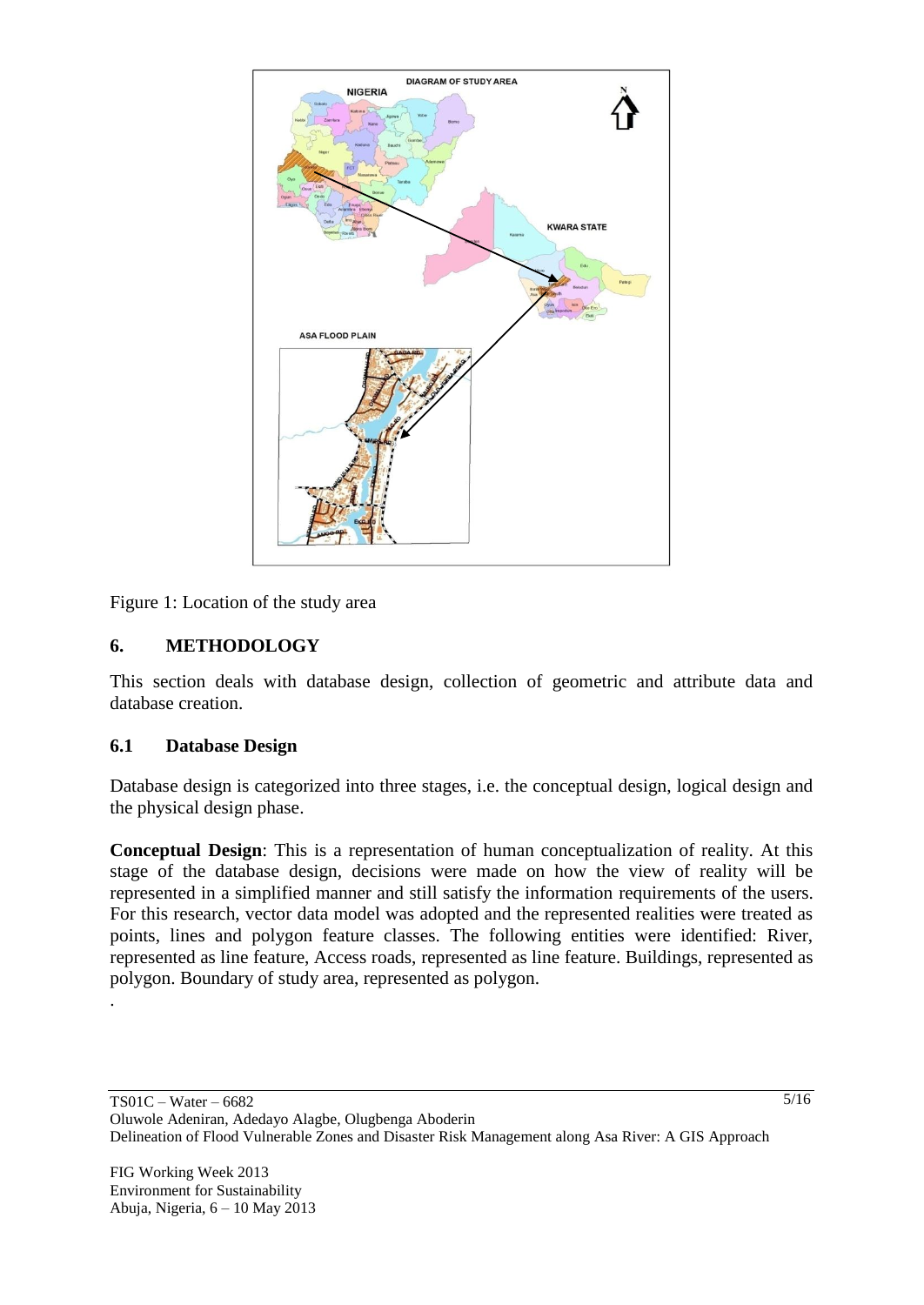

Figure 1: Location of the study area

## **6. METHODOLOGY**

This section deals with database design, collection of geometric and attribute data and database creation.

### **6.1 Database Design**

Database design is categorized into three stages, i.e. the conceptual design, logical design and the physical design phase.

**Conceptual Design**: This is a representation of human conceptualization of reality. At this stage of the database design, decisions were made on how the view of reality will be represented in a simplified manner and still satisfy the information requirements of the users. For this research, vector data model was adopted and the represented realities were treated as points, lines and polygon feature classes. The following entities were identified: River, represented as line feature, Access roads, represented as line feature. Buildings, represented as polygon. Boundary of study area, represented as polygon.

.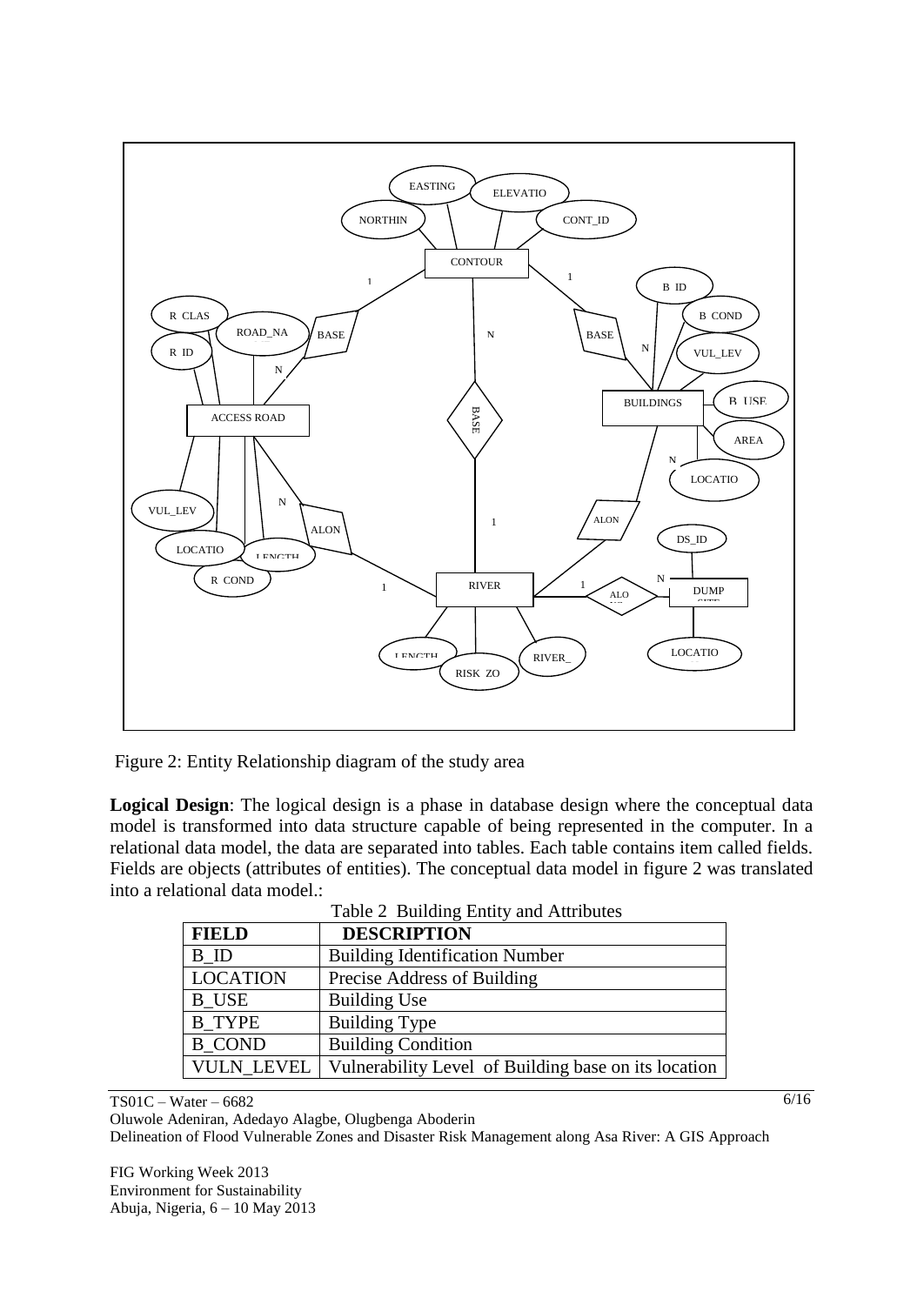

Figure 2: Entity Relationship diagram of the study area

**Logical Design**: The logical design is a phase in database design where the conceptual data model is transformed into data structure capable of being represented in the computer. In a relational data model, the data are separated into tables. Each table contains item called fields. Fields are objects (attributes of entities). The conceptual data model in figure 2 was translated into a relational data model.:

| $\frac{1}{2}$ $\frac{1}{2}$ $\frac{1}{2}$ $\frac{1}{2}$ $\frac{1}{2}$ $\frac{1}{2}$ $\frac{1}{2}$ $\frac{1}{2}$ $\frac{1}{2}$ $\frac{1}{2}$ $\frac{1}{2}$ $\frac{1}{2}$ $\frac{1}{2}$ $\frac{1}{2}$ $\frac{1}{2}$ $\frac{1}{2}$ $\frac{1}{2}$ $\frac{1}{2}$ $\frac{1}{2}$ $\frac{1}{2}$ $\frac{1}{2}$ $\frac{1}{2}$ |                                                      |  |  |  |  |
|---------------------------------------------------------------------------------------------------------------------------------------------------------------------------------------------------------------------------------------------------------------------------------------------------------------------|------------------------------------------------------|--|--|--|--|
| <b>FIELD</b>                                                                                                                                                                                                                                                                                                        | <b>DESCRIPTION</b>                                   |  |  |  |  |
| B ID                                                                                                                                                                                                                                                                                                                | <b>Building Identification Number</b>                |  |  |  |  |
| <b>LOCATION</b>                                                                                                                                                                                                                                                                                                     | Precise Address of Building                          |  |  |  |  |
| B USE                                                                                                                                                                                                                                                                                                               | <b>Building Use</b>                                  |  |  |  |  |
| <b>B</b> TYPE                                                                                                                                                                                                                                                                                                       | <b>Building Type</b>                                 |  |  |  |  |
| <b>B</b> COND                                                                                                                                                                                                                                                                                                       | <b>Building Condition</b>                            |  |  |  |  |
| <b>VULN LEVEL</b>                                                                                                                                                                                                                                                                                                   | Vulnerability Level of Building base on its location |  |  |  |  |

Table 2 Building Entity and Attributes

TS01C – Water – 6682

Oluwole Adeniran, Adedayo Alagbe, Olugbenga Aboderin Delineation of Flood Vulnerable Zones and Disaster Risk Management along Asa River: A GIS Approach

FIG Working Week 2013 Environment for Sustainability Abuja, Nigeria, 6 – 10 May 2013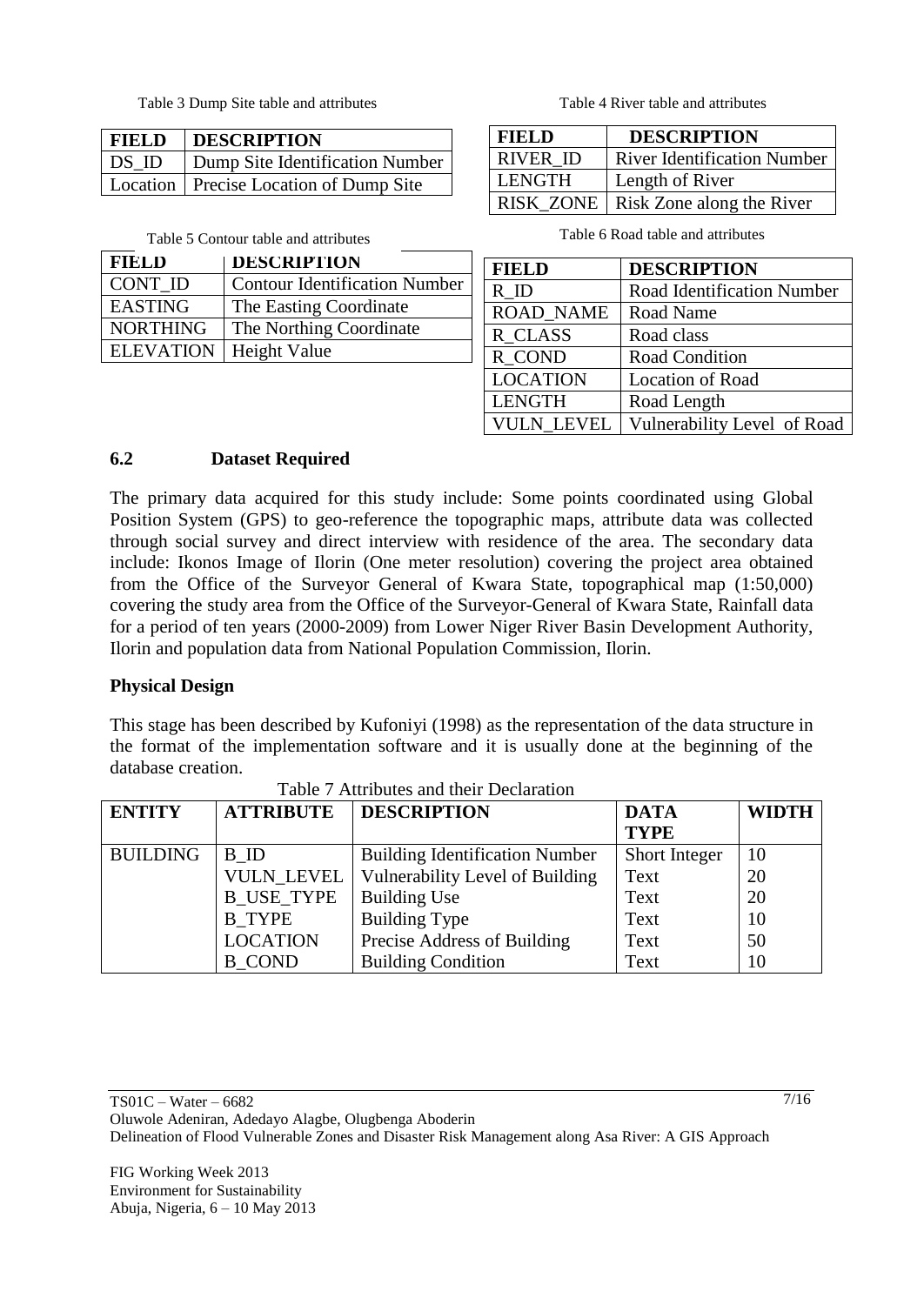Table 3 Dump Site table and attributes Table 4 River table and attributes

| <b>FIELD DESCRIPTION</b>                     |
|----------------------------------------------|
| <b>DS_ID Dump Site Identification Number</b> |
| Location   Precise Location of Dump Site     |

| <b>FIELD</b>     | <b>DESCRIPTION</b>                   |
|------------------|--------------------------------------|
| CONT ID          | <b>Contour Identification Number</b> |
| <b>EASTING</b>   | The Easting Coordinate               |
| <b>NORTHING</b>  | The Northing Coordinate              |
| <b>ELEVATION</b> | Height Value                         |

| <b>FIELD</b>    | <b>DESCRIPTION</b>                    |
|-----------------|---------------------------------------|
| <b>RIVER ID</b> | <b>River Identification Number</b>    |
| LENGTH          | Length of River                       |
|                 | RISK_ZONE   Risk Zone along the River |

Table 5 Contour table and attributes Table 6 Road table and attributes

| <b>FIELD</b>      | <b>DESCRIPTION</b>                |
|-------------------|-----------------------------------|
| R ID              | <b>Road Identification Number</b> |
| <b>ROAD_NAME</b>  | Road Name                         |
| <b>R_CLASS</b>    | Road class                        |
| <b>R_COND</b>     | <b>Road Condition</b>             |
| <b>LOCATION</b>   | <b>Location of Road</b>           |
| <b>LENGTH</b>     | Road Length                       |
| <b>VULN LEVEL</b> | Vulnerability Level of Road       |

## **6.2 Dataset Required**

The primary data acquired for this study include: Some points coordinated using Global Position System (GPS) to geo-reference the topographic maps, attribute data was collected through social survey and direct interview with residence of the area. The secondary data include: Ikonos Image of Ilorin (One meter resolution) covering the project area obtained from the Office of the Surveyor General of Kwara State, topographical map (1:50,000) covering the study area from the Office of the Surveyor-General of Kwara State, Rainfall data for a period of ten years (2000-2009) from Lower Niger River Basin Development Authority, Ilorin and population data from National Population Commission, Ilorin.

### **Physical Design**

This stage has been described by Kufoniyi (1998) as the representation of the data structure in the format of the implementation software and it is usually done at the beginning of the database creation.

| <b>ENTITY</b>   | <b>ATTRIBUTE</b>  | <b>DESCRIPTION</b>                    | <b>DATA</b>   | <b>WIDTH</b> |
|-----------------|-------------------|---------------------------------------|---------------|--------------|
|                 |                   |                                       | <b>TYPE</b>   |              |
| <b>BUILDING</b> | B ID              | <b>Building Identification Number</b> | Short Integer | 10           |
|                 | VULN LEVEL        | Vulnerability Level of Building       | Text          | 20           |
|                 | <b>B USE TYPE</b> | <b>Building Use</b>                   | Text          | 20           |
|                 | <b>B</b> TYPE     | <b>Building Type</b>                  | Text          | 10           |
|                 | <b>LOCATION</b>   | Precise Address of Building           | Text          | 50           |
|                 | <b>B</b> COND     | <b>Building Condition</b>             | Text          | 10           |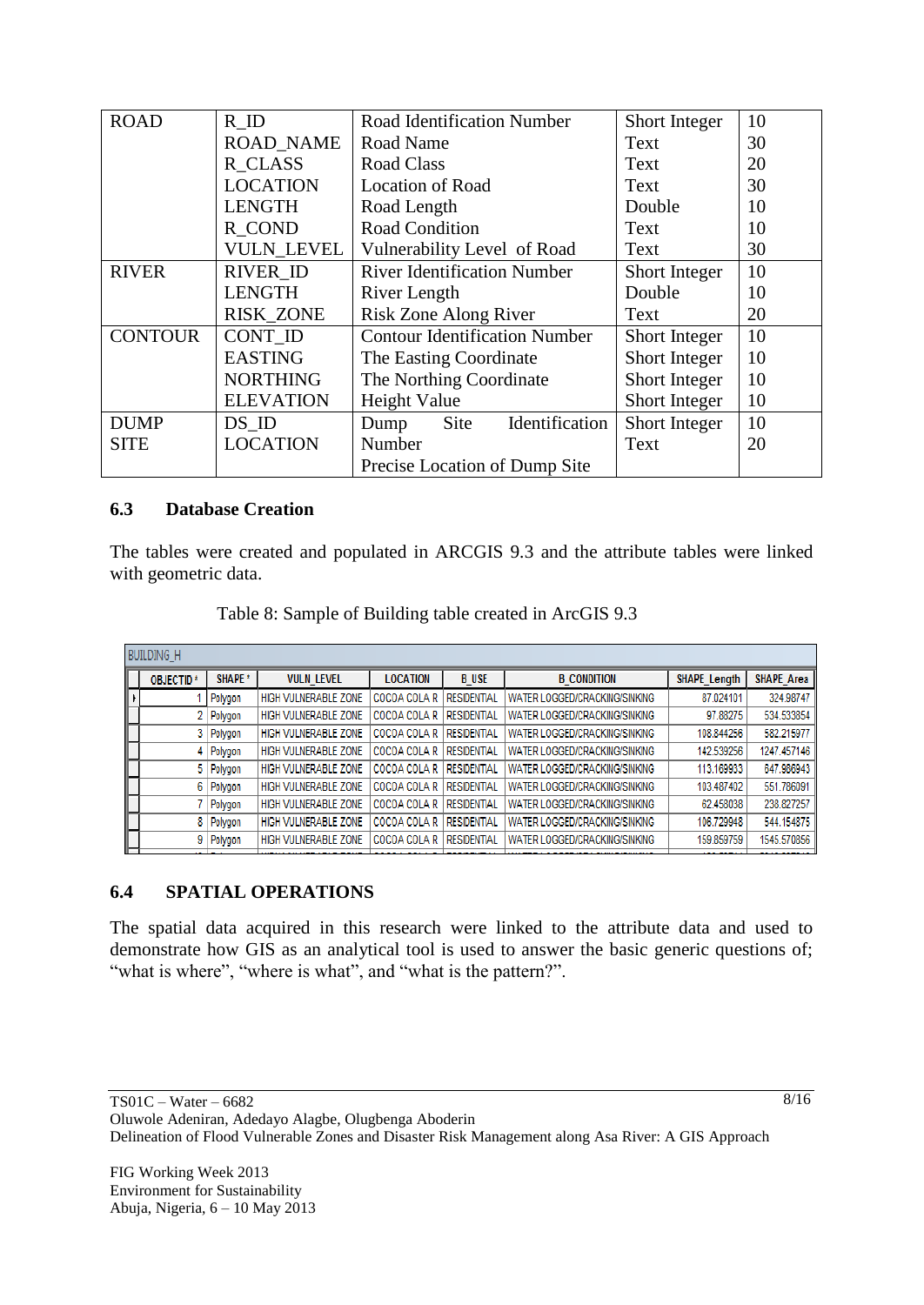| <b>ROAD</b>    | R ID              | <b>Road Identification Number</b>    | Short Integer | 10 |
|----------------|-------------------|--------------------------------------|---------------|----|
|                | <b>ROAD NAME</b>  | Road Name                            | Text          | 30 |
|                | R CLASS           | Road Class                           | Text          | 20 |
|                | <b>LOCATION</b>   | <b>Location of Road</b>              | Text          | 30 |
|                | <b>LENGTH</b>     | Road Length                          | Double        | 10 |
|                | R COND            | <b>Road Condition</b>                | Text          | 10 |
|                | <b>VULN LEVEL</b> | Vulnerability Level of Road          | Text          | 30 |
| <b>RIVER</b>   | <b>RIVER ID</b>   | <b>River Identification Number</b>   | Short Integer | 10 |
|                | <b>LENGTH</b>     | River Length                         | Double        | 10 |
|                | <b>RISK_ZONE</b>  | Risk Zone Along River                | Text          | 20 |
| <b>CONTOUR</b> | CONT ID           | <b>Contour Identification Number</b> | Short Integer | 10 |
|                | <b>EASTING</b>    | The Easting Coordinate               | Short Integer | 10 |
|                | <b>NORTHING</b>   | The Northing Coordinate              | Short Integer | 10 |
|                | <b>ELEVATION</b>  | Height Value                         | Short Integer | 10 |
| <b>DUMP</b>    | DS ID             | Site<br>Identification<br>Dump       | Short Integer | 10 |
| <b>SITE</b>    | <b>LOCATION</b>   | Number                               | Text          | 20 |
|                |                   | Precise Location of Dump Site        |               |    |

### **6.3 Database Creation**

The tables were created and populated in ARCGIS 9.3 and the attribute tables were linked with geometric data.

| <b>BUILDING H</b> |             |                             |                 |                    |                                      |                     |                   |
|-------------------|-------------|-----------------------------|-----------------|--------------------|--------------------------------------|---------------------|-------------------|
| <b>OBJECTID*</b>  | SHAPE *     | <b>VULN LEVEL</b>           | <b>LOCATION</b> | <b>B</b> USE       | <b>B CONDITION</b>                   | <b>SHAPE Length</b> | <b>SHAPE Area</b> |
|                   | Polygon     | <b>HIGH VULNERABLE ZONE</b> | COCOA COLA R    | <b>RESIDENTIAL</b> | <b>WATER LOGGED/CRACKING/SINKING</b> | 87.024101           | 324.98747         |
| 2                 | Polygon     | HIGH VULNERABLE ZONE        | COCOA COLA R    | <b>RESIDENTIAL</b> | WATER LOGGED/CRACKING/SINKING        | 97.88275            | 534.533854        |
|                   | 3   Polygon | <b>HIGH VULNERABLE ZONE</b> | COCOA COLA R    | <b>RESIDENTIAL</b> | WATER LOGGED/CRACKING/SINKING        | 108.844256          | 582.215977        |
| 4                 | Polygon     | HIGH VULNERABLE ZONE        | COCOA COLA R    | <b>RESIDENTIAL</b> | WATER LOGGED/CRACKING/SINKING        | 142.539256          | 1247.457146       |
|                   | 5 Polygon   | HIGH VULNERABLE ZONE        | COCOA COLA R    | <b>RESIDENTIAL</b> | WATER LOGGED/CRACKING/SINKING        | 113.169933          | 647.986943        |
| 6                 | Polygon     | <b>HIGH VULNERABLE ZONE</b> | COCOA COLA R    | <b>RESIDENTIAL</b> | WATER LOGGED/CRACKING/SINKING        | 103.487402          | 551.786091        |
|                   | Polygon     | <b>HIGH VULNERABLE ZONE</b> | COCOA COLA R    | <b>RESIDENTIAL</b> | <b>WATER LOGGED/CRACKING/SINKING</b> | 62.458038           | 238.827257        |
| 8                 | Polygon     | <b>HIGH VULNERABLE ZONE</b> | COCOA COLA R    | <b>RESIDENTIAL</b> | WATER LOGGED/CRACKING/SINKING        | 106.729948          | 544.154875        |
|                   | 9 Polygon   | HIGH VULNERABLE ZONE        | COCOA COLA R    | <b>RESIDENTIAL</b> | WATER LOGGED/CRACKING/SINKING        | 159.859759          | 1545.570856       |
|                   |             |                             |                 |                    |                                      |                     |                   |

| Table 8: Sample of Building table created in ArcGIS 9.3 |
|---------------------------------------------------------|
|---------------------------------------------------------|

### **6.4 SPATIAL OPERATIONS**

The spatial data acquired in this research were linked to the attribute data and used to demonstrate how GIS as an analytical tool is used to answer the basic generic questions of; "what is where", "where is what", and "what is the pattern?".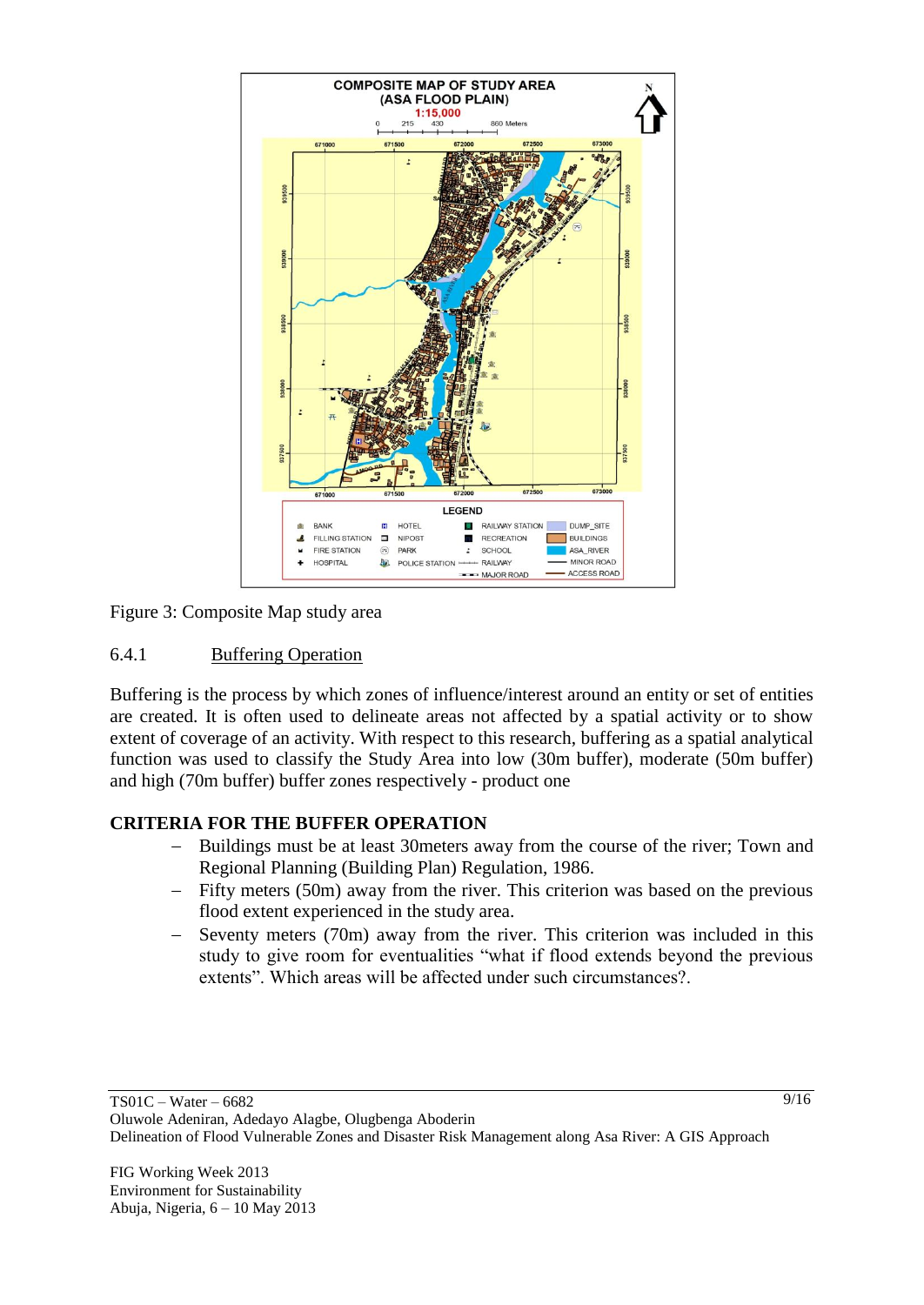

Figure 3: Composite Map study area

#### 6.4.1 Buffering Operation

Buffering is the process by which zones of influence/interest around an entity or set of entities are created. It is often used to delineate areas not affected by a spatial activity or to show extent of coverage of an activity. With respect to this research, buffering as a spatial analytical function was used to classify the Study Area into low (30m buffer), moderate (50m buffer) and high (70m buffer) buffer zones respectively - product one

### **CRITERIA FOR THE BUFFER OPERATION**

- Buildings must be at least 30meters away from the course of the river; Town and Regional Planning (Building Plan) Regulation, 1986.
- Fifty meters (50m) away from the river. This criterion was based on the previous flood extent experienced in the study area.
- Seventy meters (70m) away from the river. This criterion was included in this study to give room for eventualities "what if flood extends beyond the previous extents". Which areas will be affected under such circumstances?.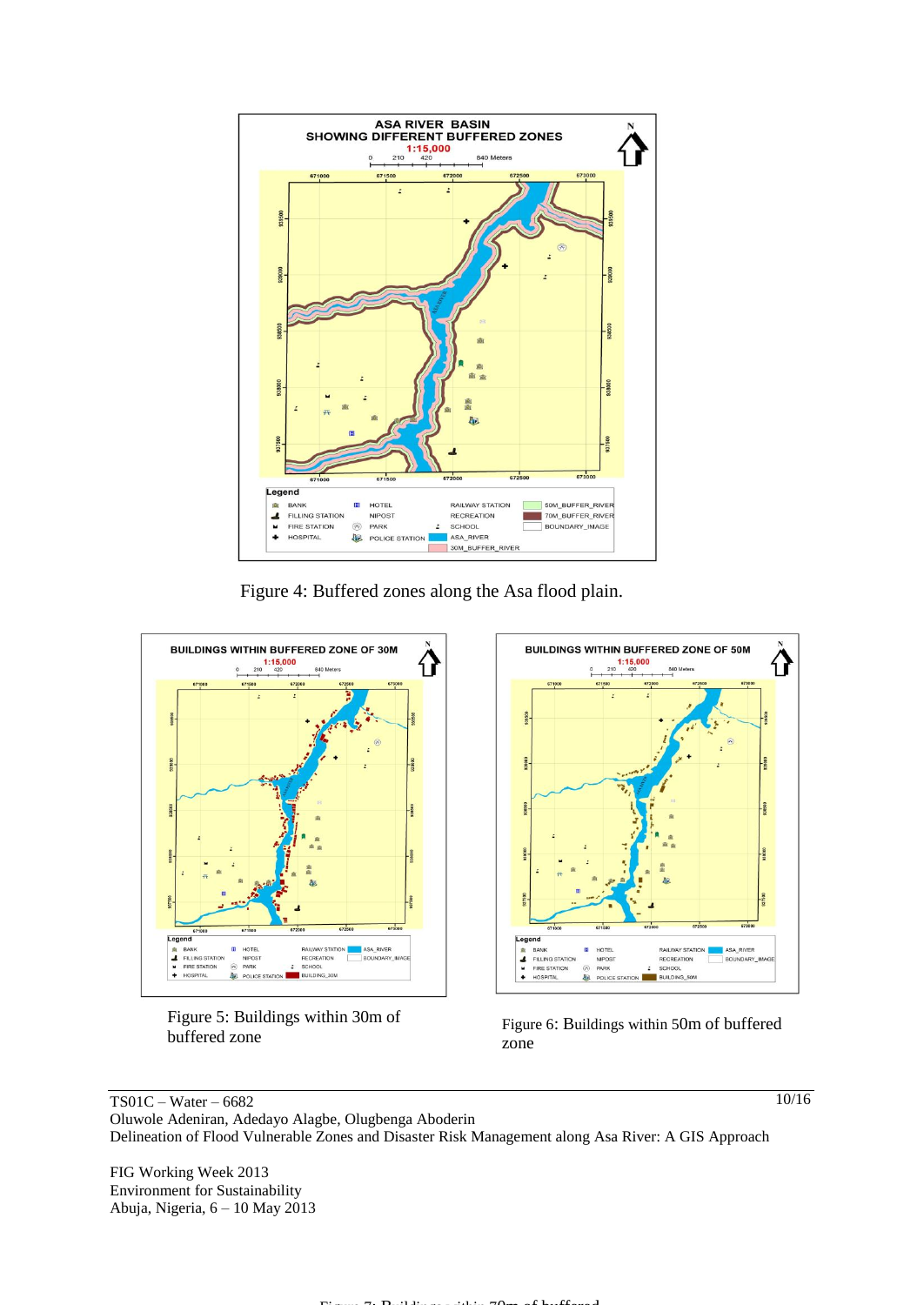

Figure 4: Buffered zones along the Asa flood plain.







Figure 6: Buildings within 50m of buffered zone

TS01C – Water – 6682 Oluwole Adeniran, Adedayo Alagbe, Olugbenga Aboderin Delineation of Flood Vulnerable Zones and Disaster Risk Management along Asa River: A GIS Approach

FIG Working Week 2013 Environment for Sustainability Abuja, Nigeria, 6 – 10 May 2013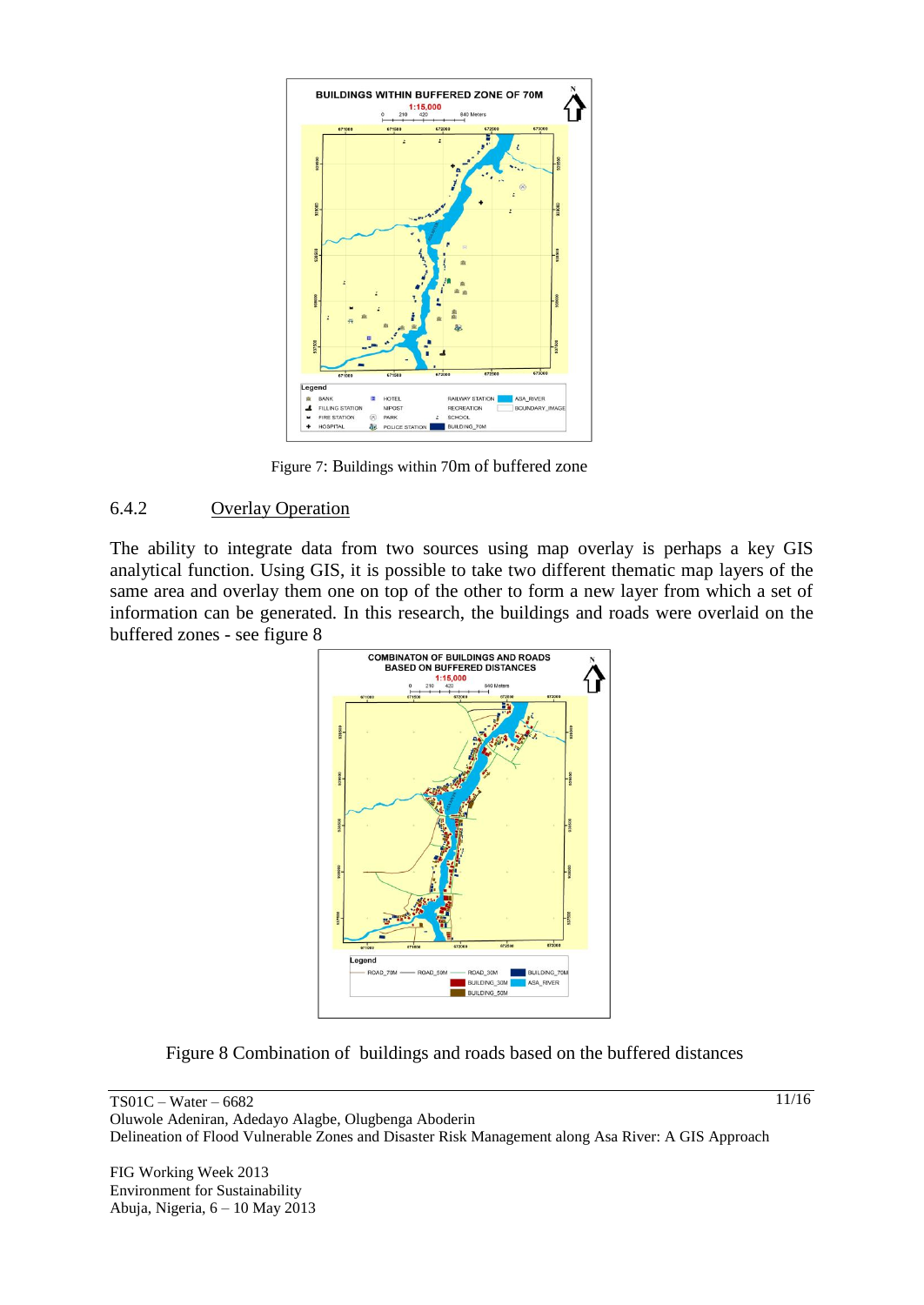

Figure 7: Buildings within 70m of buffered zone

#### 6.4.2 Overlay Operation

The ability to integrate data from two sources using map overlay is perhaps a key GIS analytical function. Using GIS, it is possible to take two different thematic map layers of the same area and overlay them one on top of the other to form a new layer from which a set of information can be generated. In this research, the buildings and roads were overlaid on the buffered zones - see figure 8



Figure 8 Combination of buildings and roads based on the buffered distances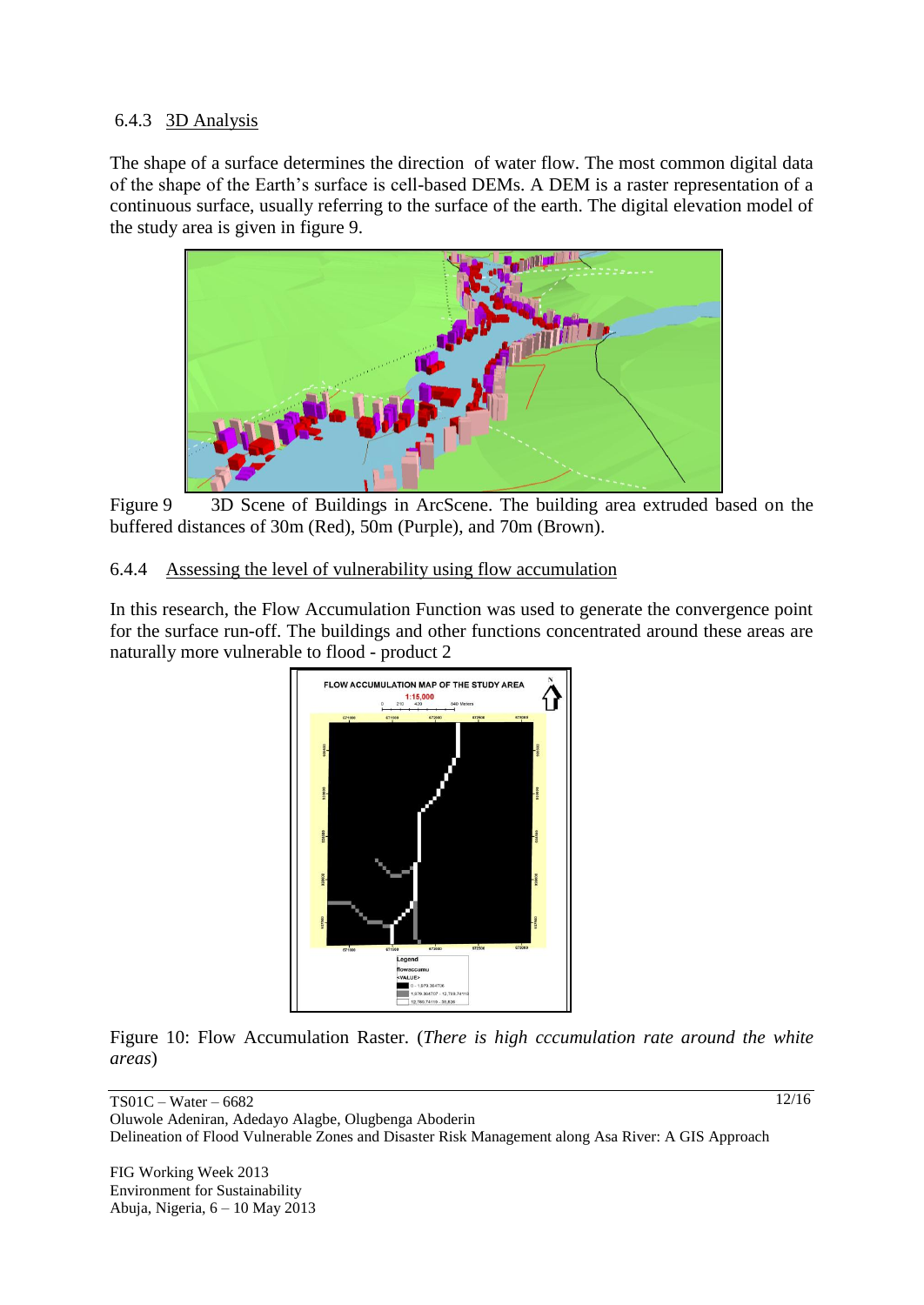## 6.4.3 3D Analysis

The shape of a surface determines the direction of water flow. The most common digital data of the shape of the Earth's surface is cell-based DEMs. A DEM is a raster representation of a continuous surface, usually referring to the surface of the earth. The digital elevation model of the study area is given in figure 9.



Figure 9 3D Scene of Buildings in ArcScene. The building area extruded based on the buffered distances of 30m (Red), 50m (Purple), and 70m (Brown).

### 6.4.4 Assessing the level of vulnerability using flow accumulation

In this research, the Flow Accumulation Function was used to generate the convergence point for the surface run-off. The buildings and other functions concentrated around these areas are naturally more vulnerable to flood - product 2



Figure 10: Flow Accumulation Raster. (*There is high cccumulation rate around the white areas*)

TS01C – Water – 6682 Oluwole Adeniran, Adedayo Alagbe, Olugbenga Aboderin Delineation of Flood Vulnerable Zones and Disaster Risk Management along Asa River: A GIS Approach

FIG Working Week 2013 Environment for Sustainability Abuja, Nigeria, 6 – 10 May 2013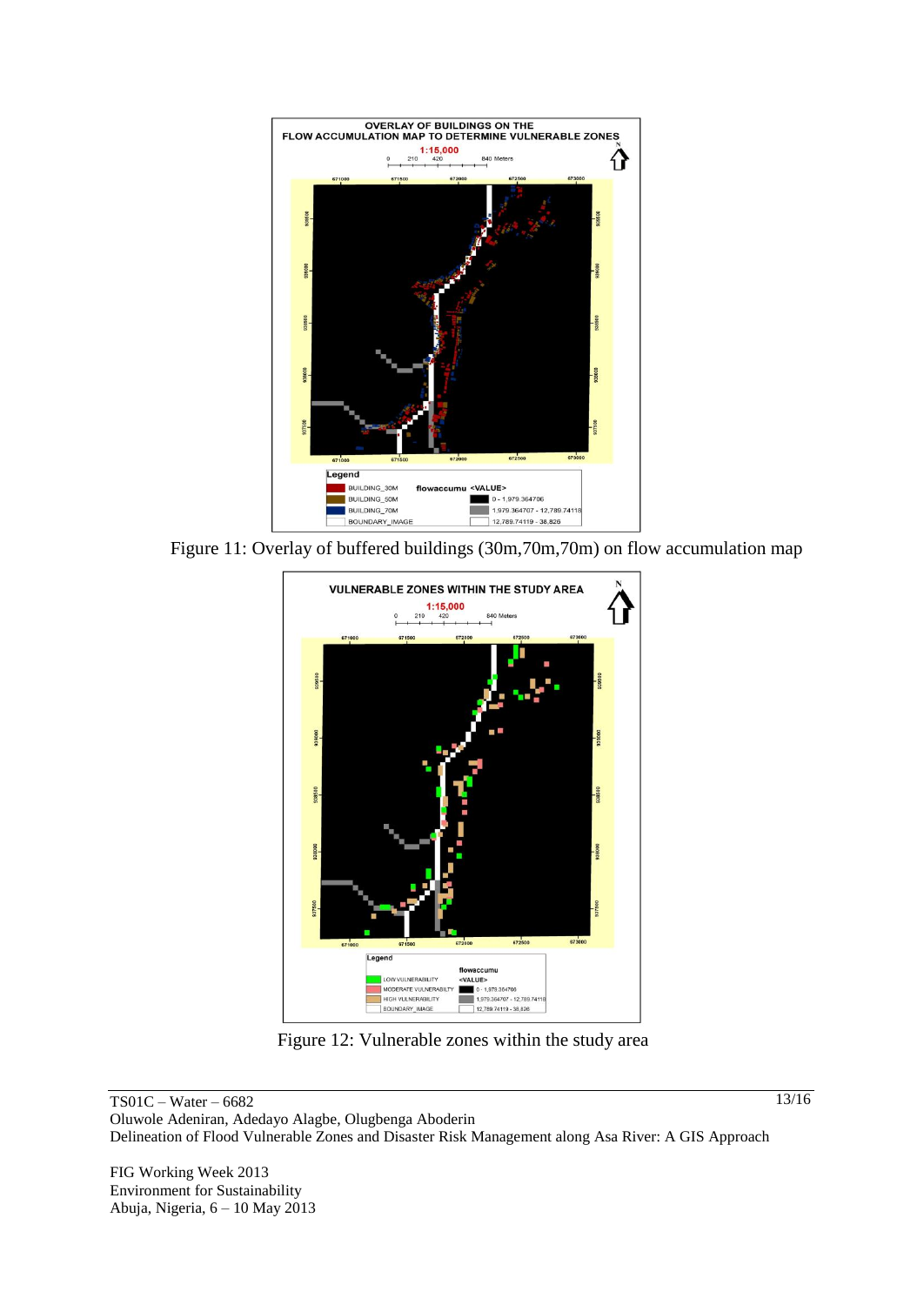

Figure 11: Overlay of buffered buildings (30m,70m,70m) on flow accumulation map



Figure 12: Vulnerable zones within the study area

TS01C – Water – 6682 Oluwole Adeniran, Adedayo Alagbe, Olugbenga Aboderin Delineation of Flood Vulnerable Zones and Disaster Risk Management along Asa River: A GIS Approach

FIG Working Week 2013 Environment for Sustainability Abuja, Nigeria, 6 – 10 May 2013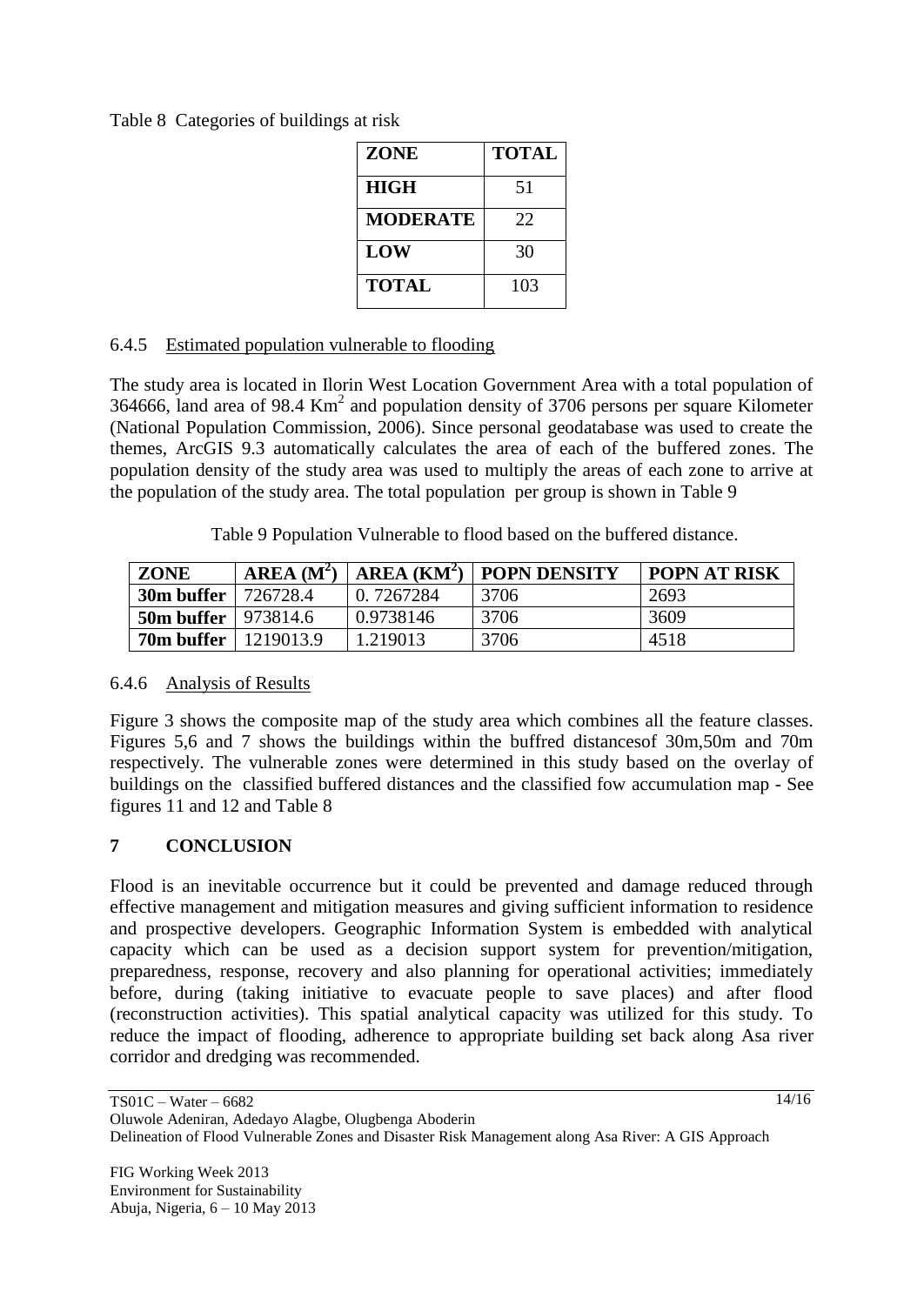Table 8 Categories of buildings at risk

| <b>ZONE</b>     | <b>TOTAL</b> |
|-----------------|--------------|
| <b>HIGH</b>     | 51           |
| <b>MODERATE</b> | 22           |
| LOW             | 30           |
| <b>TOTAL</b>    | 103          |

## 6.4.5 Estimated population vulnerable to flooding

The study area is located in Ilorin West Location Government Area with a total population of 364666, land area of 98.4  $\text{Km}^2$  and population density of 3706 persons per square Kilometer (National Population Commission, 2006). Since personal geodatabase was used to create the themes, ArcGIS 9.3 automatically calculates the area of each of the buffered zones. The population density of the study area was used to multiply the areas of each zone to arrive at the population of the study area. The total population per group is shown in Table 9

Table 9 Population Vulnerable to flood based on the buffered distance.

| ZONE                    | AREA(M <sup>2</sup> ) | $AREA$ ( $KM^2$ ) | <b>POPN DENSITY</b> | <b>POPN AT RISK</b> |
|-------------------------|-----------------------|-------------------|---------------------|---------------------|
| 30m buffer              | 726728.4              | 0.7267284         | 3706                | 2693                |
| 50m buffer   $973814.6$ |                       | 0.9738146         | 3706                | 3609                |
| 70m buffer              | 1219013.9             | 1.219013          | 3706                | 4518                |

### 6.4.6 Analysis of Results

Figure 3 shows the composite map of the study area which combines all the feature classes. Figures 5,6 and 7 shows the buildings within the buffred distancesof 30m,50m and 70m respectively. The vulnerable zones were determined in this study based on the overlay of buildings on the classified buffered distances and the classified fow accumulation map - See figures 11 and 12 and Table 8

# **7 CONCLUSION**

Flood is an inevitable occurrence but it could be prevented and damage reduced through effective management and mitigation measures and giving sufficient information to residence and prospective developers. Geographic Information System is embedded with analytical capacity which can be used as a decision support system for prevention/mitigation, preparedness, response, recovery and also planning for operational activities; immediately before, during (taking initiative to evacuate people to save places) and after flood (reconstruction activities). This spatial analytical capacity was utilized for this study. To reduce the impact of flooding, adherence to appropriate building set back along Asa river corridor and dredging was recommended.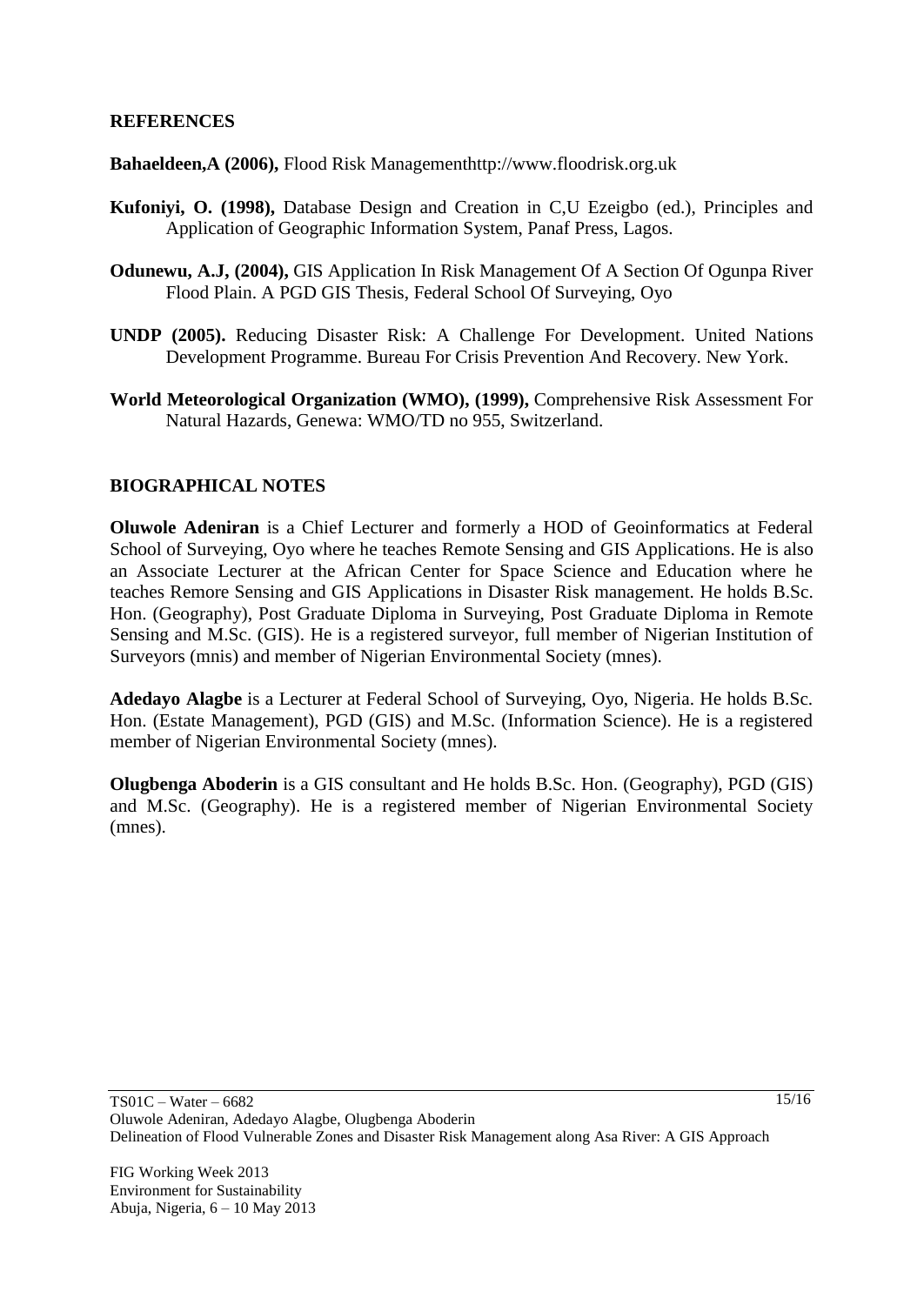#### **REFERENCES**

**Bahaeldeen,A (2006),** Flood Risk Managementhttp://www.floodrisk.org.uk

- **Kufoniyi, O. (1998),** Database Design and Creation in C,U Ezeigbo (ed.), Principles and Application of Geographic Information System, Panaf Press, Lagos.
- **Odunewu, A.J, (2004),** GIS Application In Risk Management Of A Section Of Ogunpa River Flood Plain. A PGD GIS Thesis, Federal School Of Surveying, Oyo
- **UNDP (2005).** Reducing Disaster Risk: A Challenge For Development. United Nations Development Programme. Bureau For Crisis Prevention And Recovery. New York.
- **World Meteorological Organization (WMO), (1999),** Comprehensive Risk Assessment For Natural Hazards, Genewa: WMO/TD no 955, Switzerland.

### **BIOGRAPHICAL NOTES**

**Oluwole Adeniran** is a Chief Lecturer and formerly a HOD of Geoinformatics at Federal School of Surveying, Oyo where he teaches Remote Sensing and GIS Applications. He is also an Associate Lecturer at the African Center for Space Science and Education where he teaches Remore Sensing and GIS Applications in Disaster Risk management. He holds B.Sc. Hon. (Geography), Post Graduate Diploma in Surveying, Post Graduate Diploma in Remote Sensing and M.Sc. (GIS). He is a registered surveyor, full member of Nigerian Institution of Surveyors (mnis) and member of Nigerian Environmental Society (mnes).

**Adedayo Alagbe** is a Lecturer at Federal School of Surveying, Oyo, Nigeria. He holds B.Sc. Hon. (Estate Management), PGD (GIS) and M.Sc. (Information Science). He is a registered member of Nigerian Environmental Society (mnes).

**Olugbenga Aboderin** is a GIS consultant and He holds B.Sc. Hon. (Geography), PGD (GIS) and M.Sc. (Geography). He is a registered member of Nigerian Environmental Society (mnes).